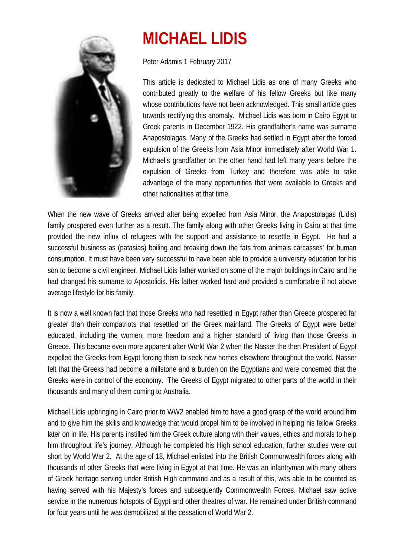

## **MICHAEL LIDIS**

Peter Adamis 1 February 2017

This article is dedicated to Michael Lidis as one of many Greeks who contributed greatly to the welfare of his fellow Greeks but like many whose contributions have not been acknowledged. This small article goes towards rectifying this anomaly. Michael Lidis was born in Cairo Egypt to Greek parents in December 1922. His grandfather's name was surname Anapostolagas. Many of the Greeks had settled in Egypt after the forced expulsion of the Greeks from Asia Minor immediately after World War 1. Michael's grandfather on the other hand had left many years before the expulsion of Greeks from Turkey and therefore was able to take advantage of the many opportunities that were available to Greeks and other nationalities at that time.

When the new wave of Greeks arrived after being expelled from Asia Minor, the Anapostolagas (Lidis) family prospered even further as a result. The family along with other Greeks living in Cairo at that time provided the new influx of refugees with the support and assistance to resettle in Egypt. He had a successful business as (patasias) boiling and breaking down the fats from animals carcasses' for human consumption. It must have been very successful to have been able to provide a university education for his son to become a civil engineer. Michael Lidis father worked on some of the major buildings in Cairo and he had changed his surname to Apostolidis. His father worked hard and provided a comfortable if not above average lifestyle for his family.

It is now a well known fact that those Greeks who had resettled in Egypt rather than Greece prospered far greater than their compatriots that resettled on the Greek mainland. The Greeks of Egypt were better educated, including the women, more freedom and a higher standard of living than those Greeks in Greece. This became even more apparent after World War 2 when the Nasser the then President of Egypt expelled the Greeks from Egypt forcing them to seek new homes elsewhere throughout the world. Nasser felt that the Greeks had become a millstone and a burden on the Egyptians and were concerned that the Greeks were in control of the economy. The Greeks of Egypt migrated to other parts of the world in their thousands and many of them coming to Australia.

Michael Lidis upbringing in Cairo prior to WW2 enabled him to have a good grasp of the world around him and to give him the skills and knowledge that would propel him to be involved in helping his fellow Greeks later on in life. His parents instilled him the Greek culture along with their values, ethics and morals to help him throughout life's journey. Although he completed his High school education, further studies were cut short by World War 2. At the age of 18, Michael enlisted into the British Commonwealth forces along with thousands of other Greeks that were living in Egypt at that time. He was an infantryman with many others of Greek heritage serving under British High command and as a result of this, was able to be counted as having served with his Majesty's forces and subsequently Commonwealth Forces. Michael saw active service in the numerous hotspots of Egypt and other theatres of war. He remained under British command for four years until he was demobilized at the cessation of World War 2.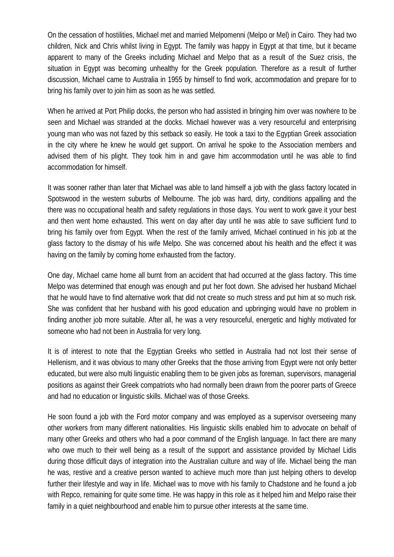On the cessation of hostilities, Michael met and married Melpomenni (Melpo or Mel) in Cairo. They had two children, Nick and Chris whilst living in Egypt. The family was happy in Egypt at that time, but it became apparent to many of the Greeks including Michael and Melpo that as a result of the Suez crisis, the situation in Egypt was becoming unhealthy for the Greek population. Therefore as a result of further discussion, Michael came to Australia in 1955 by himself to find work, accommodation and prepare for to bring his family over to join him as soon as he was settled.

When he arrived at Port Philip docks, the person who had assisted in bringing him over was nowhere to be seen and Michael was stranded at the docks. Michael however was a very resourceful and enterprising young man who was not fazed by this setback so easily. He took a taxi to the Egyptian Greek association in the city where he knew he would get support. On arrival he spoke to the Association members and advised them of his plight. They took him in and gave him accommodation until he was able to find accommodation for himself.

It was sooner rather than later that Michael was able to land himself a job with the glass factory located in Spotswood in the western suburbs of Melbourne. The job was hard, dirty, conditions appalling and the there was no occupational health and safety regulations in those days. You went to work gave it your best and then went home exhausted. This went on day after day until he was able to save sufficient fund to bring his family over from Egypt. When the rest of the family arrived, Michael continued in his job at the glass factory to the dismay of his wife Melpo. She was concerned about his health and the effect it was having on the family by coming home exhausted from the factory.

One day, Michael came home all burnt from an accident that had occurred at the glass factory. This time Melpo was determined that enough was enough and put her foot down. She advised her husband Michael that he would have to find alternative work that did not create so much stress and put him at so much risk. She was confident that her husband with his good education and upbringing would have no problem in finding another job more suitable. After all, he was a very resourceful, energetic and highly motivated for someone who had not been in Australia for very long.

It is of interest to note that the Egyptian Greeks who settled in Australia had not lost their sense of Hellenism, and it was obvious to many other Greeks that the those arriving from Egypt were not only better educated, but were also multi linguistic enabling them to be given jobs as foreman, supervisors, managerial positions as against their Greek compatriots who had normally been drawn from the poorer parts of Greece and had no education or linguistic skills. Michael was of those Greeks.

He soon found a job with the Ford motor company and was employed as a supervisor overseeing many other workers from many different nationalities. His linguistic skills enabled him to advocate on behalf of many other Greeks and others who had a poor command of the English language. In fact there are many who owe much to their well being as a result of the support and assistance provided by Michael Lidis during those difficult days of integration into the Australian culture and way of life. Michael being the man he was, restive and a creative person wanted to achieve much more than just helping others to develop further their lifestyle and way in life. Michael was to move with his family to Chadstone and he found a job with Repco, remaining for quite some time. He was happy in this role as it helped him and Melpo raise their family in a quiet neighbourhood and enable him to pursue other interests at the same time.